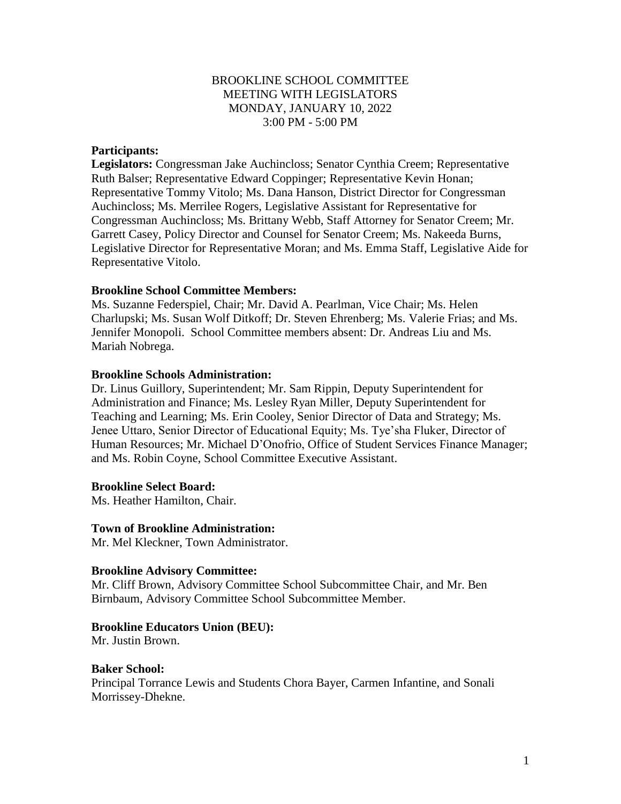## BROOKLINE SCHOOL COMMITTEE MEETING WITH LEGISLATORS MONDAY, JANUARY 10, 2022 3:00 PM - 5:00 PM

## **Participants:**

**Legislators:** Congressman Jake Auchincloss; Senator Cynthia Creem; Representative Ruth Balser; Representative Edward Coppinger; Representative Kevin Honan; Representative Tommy Vitolo; Ms. Dana Hanson, District Director for Congressman Auchincloss; Ms. Merrilee Rogers, Legislative Assistant for Representative for Congressman Auchincloss; Ms. Brittany Webb, Staff Attorney for Senator Creem; Mr. Garrett Casey, Policy Director and Counsel for Senator Creem; Ms. Nakeeda Burns, Legislative Director for Representative Moran; and Ms. Emma Staff, Legislative Aide for Representative Vitolo.

## **Brookline School Committee Members:**

Ms. Suzanne Federspiel, Chair; Mr. David A. Pearlman, Vice Chair; Ms. Helen Charlupski; Ms. Susan Wolf Ditkoff; Dr. Steven Ehrenberg; Ms. Valerie Frias; and Ms. Jennifer Monopoli. School Committee members absent: Dr. Andreas Liu and Ms. Mariah Nobrega.

## **Brookline Schools Administration:**

Dr. Linus Guillory, Superintendent; Mr. Sam Rippin, Deputy Superintendent for Administration and Finance; Ms. Lesley Ryan Miller, Deputy Superintendent for Teaching and Learning; Ms. Erin Cooley, Senior Director of Data and Strategy; Ms. Jenee Uttaro, Senior Director of Educational Equity; Ms. Tye'sha Fluker, Director of Human Resources; Mr. Michael D'Onofrio, Office of Student Services Finance Manager; and Ms. Robin Coyne, School Committee Executive Assistant.

## **Brookline Select Board:**

Ms. Heather Hamilton, Chair.

#### **Town of Brookline Administration:**

Mr. Mel Kleckner, Town Administrator.

#### **Brookline Advisory Committee:**

Mr. Cliff Brown, Advisory Committee School Subcommittee Chair, and Mr. Ben Birnbaum, Advisory Committee School Subcommittee Member.

#### **Brookline Educators Union (BEU):**

Mr. Justin Brown.

#### **Baker School:**

Principal Torrance Lewis and Students Chora Bayer, Carmen Infantine, and Sonali Morrissey-Dhekne.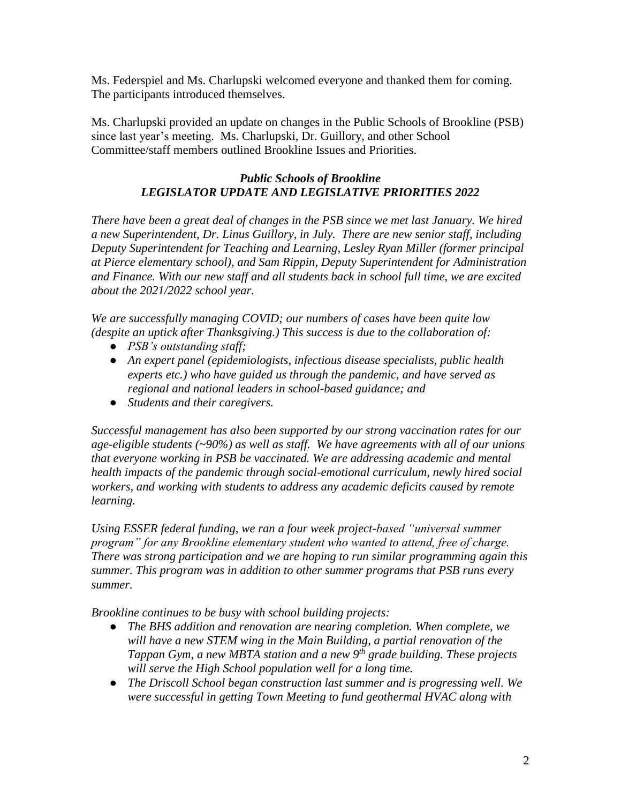Ms. Federspiel and Ms. Charlupski welcomed everyone and thanked them for coming. The participants introduced themselves.

Ms. Charlupski provided an update on changes in the Public Schools of Brookline (PSB) since last year's meeting. Ms. Charlupski, Dr. Guillory, and other School Committee/staff members outlined Brookline Issues and Priorities.

# *Public Schools of Brookline LEGISLATOR UPDATE AND LEGISLATIVE PRIORITIES 2022*

*There have been a great deal of changes in the PSB since we met last January. We hired a new Superintendent, Dr. Linus Guillory, in July. There are new senior staff, including Deputy Superintendent for Teaching and Learning, Lesley Ryan Miller (former principal at Pierce elementary school), and Sam Rippin, Deputy Superintendent for Administration and Finance. With our new staff and all students back in school full time, we are excited about the 2021/2022 school year.* 

*We are successfully managing COVID; our numbers of cases have been quite low (despite an uptick after Thanksgiving.) This success is due to the collaboration of:* 

- *PSB's outstanding staff;*
- *An expert panel (epidemiologists, infectious disease specialists, public health experts etc.) who have guided us through the pandemic, and have served as regional and national leaders in school-based guidance; and*
- *Students and their caregivers.*

*Successful management has also been supported by our strong vaccination rates for our age-eligible students (~90%) as well as staff. We have agreements with all of our unions that everyone working in PSB be vaccinated. We are addressing academic and mental health impacts of the pandemic through social-emotional curriculum, newly hired social workers, and working with students to address any academic deficits caused by remote learning.* 

*Using ESSER federal funding, we ran a four week project-based "universal summer program" for any Brookline elementary student who wanted to attend, free of charge. There was strong participation and we are hoping to run similar programming again this summer. This program was in addition to other summer programs that PSB runs every summer.* 

*Brookline continues to be busy with school building projects:*

- *The BHS addition and renovation are nearing completion. When complete, we will have a new STEM wing in the Main Building, a partial renovation of the Tappan Gym, a new MBTA station and a new 9th grade building. These projects will serve the High School population well for a long time.*
- *The Driscoll School began construction last summer and is progressing well. We were successful in getting Town Meeting to fund geothermal HVAC along with*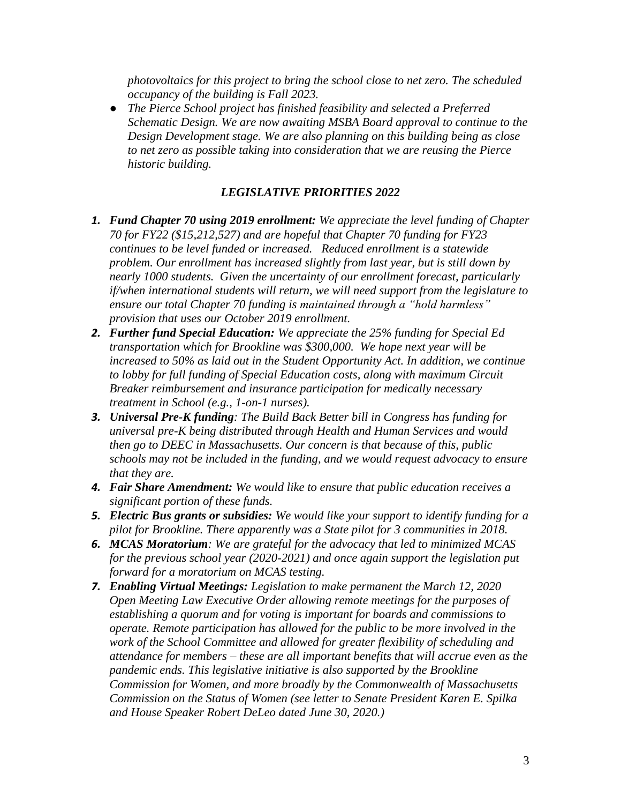*photovoltaics for this project to bring the school close to net zero. The scheduled occupancy of the building is Fall 2023.* 

● *The Pierce School project has finished feasibility and selected a Preferred Schematic Design. We are now awaiting MSBA Board approval to continue to the Design Development stage. We are also planning on this building being as close to net zero as possible taking into consideration that we are reusing the Pierce historic building.* 

## *LEGISLATIVE PRIORITIES 2022*

- *1. Fund Chapter 70 using 2019 enrollment: We appreciate the level funding of Chapter 70 for FY22 (\$15,212,527) and are hopeful that Chapter 70 funding for FY23 continues to be level funded or increased. Reduced enrollment is a statewide problem. Our enrollment has increased slightly from last year, but is still down by nearly 1000 students. Given the uncertainty of our enrollment forecast, particularly if/when international students will return, we will need support from the legislature to ensure our total Chapter 70 funding is maintained through a "hold harmless" provision that uses our October 2019 enrollment.*
- *2. Further fund Special Education: We appreciate the 25% funding for Special Ed transportation which for Brookline was \$300,000. We hope next year will be increased to 50% as laid out in the Student Opportunity Act. In addition, we continue to lobby for full funding of Special Education costs, along with maximum Circuit Breaker reimbursement and insurance participation for medically necessary treatment in School (e.g., 1-on-1 nurses).*
- *3. Universal Pre-K funding: The Build Back Better bill in Congress has funding for universal pre-K being distributed through Health and Human Services and would then go to DEEC in Massachusetts. Our concern is that because of this, public schools may not be included in the funding, and we would request advocacy to ensure that they are.*
- *4. Fair Share Amendment: We would like to ensure that public education receives a significant portion of these funds.*
- *5. Electric Bus grants or subsidies: We would like your support to identify funding for a pilot for Brookline. There apparently was a State pilot for 3 communities in 2018.*
- *6. MCAS Moratorium: We are grateful for the advocacy that led to minimized MCAS for the previous school year (2020-2021) and once again support the legislation put forward for a moratorium on MCAS testing.*
- *7. Enabling Virtual Meetings: Legislation to make permanent the March 12, 2020 Open Meeting Law Executive Order allowing remote meetings for the purposes of establishing a quorum and for voting is important for boards and commissions to operate. Remote participation has allowed for the public to be more involved in the work of the School Committee and allowed for greater flexibility of scheduling and attendance for members – these are all important benefits that will accrue even as the pandemic ends. This legislative initiative is also supported by the Brookline Commission for Women, and more broadly by the Commonwealth of Massachusetts Commission on the Status of Women (see letter to Senate President Karen E. Spilka and House Speaker Robert DeLeo dated June 30, 2020.)*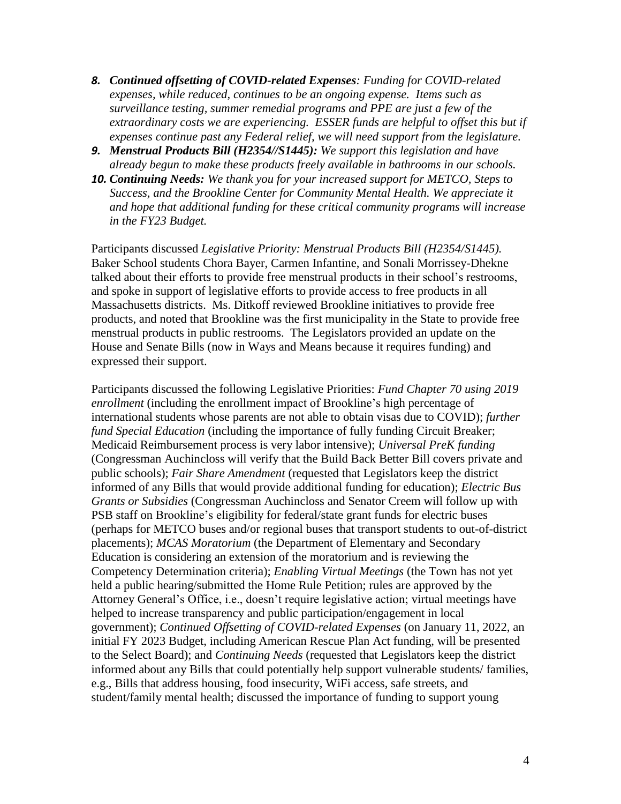- *8. Continued offsetting of COVID-related Expenses: Funding for COVID-related expenses, while reduced, continues to be an ongoing expense. Items such as surveillance testing, summer remedial programs and PPE are just a few of the extraordinary costs we are experiencing. ESSER funds are helpful to offset this but if expenses continue past any Federal relief, we will need support from the legislature.*
- *9. Menstrual Products Bill (H2354//S1445): We support this legislation and have already begun to make these products freely available in bathrooms in our schools.*
- *10. Continuing Needs: We thank you for your increased support for METCO, Steps to*  **Success, and the Brookline Center for Community Mental Health. We appreciate it** *and hope that additional funding for these critical community programs will increase in the FY23 Budget.*

Participants discussed *Legislative Priority: Menstrual Products Bill (H2354/S1445).* Baker School students Chora Bayer, Carmen Infantine, and Sonali Morrissey-Dhekne talked about their efforts to provide free menstrual products in their school's restrooms, and spoke in support of legislative efforts to provide access to free products in all Massachusetts districts. Ms. Ditkoff reviewed Brookline initiatives to provide free products, and noted that Brookline was the first municipality in the State to provide free menstrual products in public restrooms. The Legislators provided an update on the House and Senate Bills (now in Ways and Means because it requires funding) and expressed their support.

Participants discussed the following Legislative Priorities: *Fund Chapter 70 using 2019 enrollment* (including the enrollment impact of Brookline's high percentage of international students whose parents are not able to obtain visas due to COVID); *further fund Special Education* (including the importance of fully funding Circuit Breaker; Medicaid Reimbursement process is very labor intensive); *Universal PreK funding* (Congressman Auchincloss will verify that the Build Back Better Bill covers private and public schools); *Fair Share Amendment* (requested that Legislators keep the district informed of any Bills that would provide additional funding for education); *Electric Bus Grants or Subsidies* (Congressman Auchincloss and Senator Creem will follow up with PSB staff on Brookline's eligibility for federal/state grant funds for electric buses (perhaps for METCO buses and/or regional buses that transport students to out-of-district placements); *MCAS Moratorium* (the Department of Elementary and Secondary Education is considering an extension of the moratorium and is reviewing the Competency Determination criteria); *Enabling Virtual Meetings* (the Town has not yet held a public hearing/submitted the Home Rule Petition; rules are approved by the Attorney General's Office, i.e., doesn't require legislative action; virtual meetings have helped to increase transparency and public participation/engagement in local government); *Continued Offsetting of COVID-related Expenses* (on January 11, 2022, an initial FY 2023 Budget, including American Rescue Plan Act funding, will be presented to the Select Board); and *Continuing Needs* (requested that Legislators keep the district informed about any Bills that could potentially help support vulnerable students/ families, e.g., Bills that address housing, food insecurity, WiFi access, safe streets, and student/family mental health; discussed the importance of funding to support young